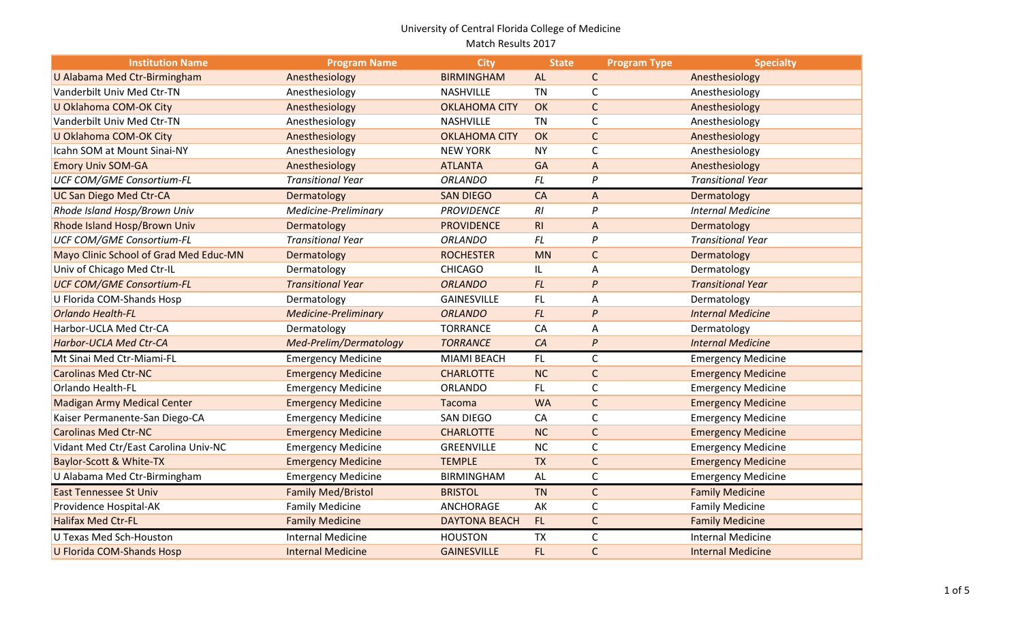| <b>Institution Name</b>                | <b>Program Name</b>         | <b>City</b>          | <b>State</b> | <b>Program Type</b> | <b>Specialty</b>          |
|----------------------------------------|-----------------------------|----------------------|--------------|---------------------|---------------------------|
| U Alabama Med Ctr-Birmingham           | Anesthesiology              | <b>BIRMINGHAM</b>    | <b>AL</b>    | $\mathsf{C}$        | Anesthesiology            |
| Vanderbilt Univ Med Ctr-TN             | Anesthesiology              | <b>NASHVILLE</b>     | <b>TN</b>    | C                   | Anesthesiology            |
| U Oklahoma COM-OK City                 | Anesthesiology              | <b>OKLAHOMA CITY</b> | OK           | $\mathsf C$         | Anesthesiology            |
| Vanderbilt Univ Med Ctr-TN             | Anesthesiology              | NASHVILLE            | <b>TN</b>    | C                   | Anesthesiology            |
| U Oklahoma COM-OK City                 | Anesthesiology              | <b>OKLAHOMA CITY</b> | OK           | $\mathsf C$         | Anesthesiology            |
| Icahn SOM at Mount Sinai-NY            | Anesthesiology              | <b>NEW YORK</b>      | <b>NY</b>    | C                   | Anesthesiology            |
| <b>Emory Univ SOM-GA</b>               | Anesthesiology              | <b>ATLANTA</b>       | <b>GA</b>    | A                   | Anesthesiology            |
| <b>UCF COM/GME Consortium-FL</b>       | <b>Transitional Year</b>    | <b>ORLANDO</b>       | <b>FL</b>    | $\mathsf{P}$        | <b>Transitional Year</b>  |
| <b>UC San Diego Med Ctr-CA</b>         | Dermatology                 | <b>SAN DIEGO</b>     | CA           | A                   | Dermatology               |
| Rhode Island Hosp/Brown Univ           | Medicine-Preliminary        | <b>PROVIDENCE</b>    | RI           | $\mathsf{P}$        | <b>Internal Medicine</b>  |
| Rhode Island Hosp/Brown Univ           | Dermatology                 | <b>PROVIDENCE</b>    | R1           | A                   | Dermatology               |
| <b>UCF COM/GME Consortium-FL</b>       | <b>Transitional Year</b>    | <b>ORLANDO</b>       | <b>FL</b>    | P                   | <b>Transitional Year</b>  |
| Mayo Clinic School of Grad Med Educ-MN | Dermatology                 | <b>ROCHESTER</b>     | <b>MN</b>    | $\mathsf{C}$        | Dermatology               |
| Univ of Chicago Med Ctr-IL             | Dermatology                 | <b>CHICAGO</b>       | IL.          | A                   | Dermatology               |
| <b>UCF COM/GME Consortium-FL</b>       | <b>Transitional Year</b>    | <b>ORLANDO</b>       | FL           | $\boldsymbol{P}$    | <b>Transitional Year</b>  |
| U Florida COM-Shands Hosp              | Dermatology                 | <b>GAINESVILLE</b>   | FL.          | Α                   | Dermatology               |
| <b>Orlando Health-FL</b>               | <b>Medicine-Preliminary</b> | <b>ORLANDO</b>       | FL           | P                   | <b>Internal Medicine</b>  |
| Harbor-UCLA Med Ctr-CA                 | Dermatology                 | <b>TORRANCE</b>      | CA           | Α                   | Dermatology               |
| <b>Harbor-UCLA Med Ctr-CA</b>          | Med-Prelim/Dermatology      | <b>TORRANCE</b>      | CA           | P                   | <b>Internal Medicine</b>  |
| Mt Sinai Med Ctr-Miami-FL              | <b>Emergency Medicine</b>   | MIAMI BEACH          | FL.          | C                   | <b>Emergency Medicine</b> |
| <b>Carolinas Med Ctr-NC</b>            | <b>Emergency Medicine</b>   | <b>CHARLOTTE</b>     | <b>NC</b>    | $\mathsf C$         | <b>Emergency Medicine</b> |
| <b>Orlando Health-FL</b>               | <b>Emergency Medicine</b>   | <b>ORLANDO</b>       | FL.          | C                   | <b>Emergency Medicine</b> |
| <b>Madigan Army Medical Center</b>     | <b>Emergency Medicine</b>   | <b>Tacoma</b>        | <b>WA</b>    | $\mathsf C$         | <b>Emergency Medicine</b> |
| Kaiser Permanente-San Diego-CA         | <b>Emergency Medicine</b>   | <b>SAN DIEGO</b>     | CA           | C                   | <b>Emergency Medicine</b> |
| <b>Carolinas Med Ctr-NC</b>            | <b>Emergency Medicine</b>   | <b>CHARLOTTE</b>     | NC           | $\mathsf C$         | <b>Emergency Medicine</b> |
| Vidant Med Ctr/East Carolina Univ-NC   | <b>Emergency Medicine</b>   | GREENVILLE           | NC           | $\mathsf C$         | <b>Emergency Medicine</b> |
| Baylor-Scott & White-TX                | <b>Emergency Medicine</b>   | <b>TEMPLE</b>        | <b>TX</b>    | $\mathsf C$         | <b>Emergency Medicine</b> |
| U Alabama Med Ctr-Birmingham           | <b>Emergency Medicine</b>   | <b>BIRMINGHAM</b>    | AL           | $\mathsf C$         | <b>Emergency Medicine</b> |
| <b>East Tennessee St Univ</b>          | <b>Family Med/Bristol</b>   | <b>BRISTOL</b>       | <b>TN</b>    | $\mathsf{C}$        | <b>Family Medicine</b>    |
| Providence Hospital-AK                 | <b>Family Medicine</b>      | ANCHORAGE            | AK           | C                   | <b>Family Medicine</b>    |
| <b>Halifax Med Ctr-FL</b>              | <b>Family Medicine</b>      | <b>DAYTONA BEACH</b> | FL.          | $\mathsf C$         | <b>Family Medicine</b>    |
| <b>U Texas Med Sch-Houston</b>         | <b>Internal Medicine</b>    | <b>HOUSTON</b>       | <b>TX</b>    | C                   | <b>Internal Medicine</b>  |
| <b>U Florida COM-Shands Hosp</b>       | <b>Internal Medicine</b>    | <b>GAINESVILLE</b>   | FL.          | $\mathsf{C}$        | Internal Medicine         |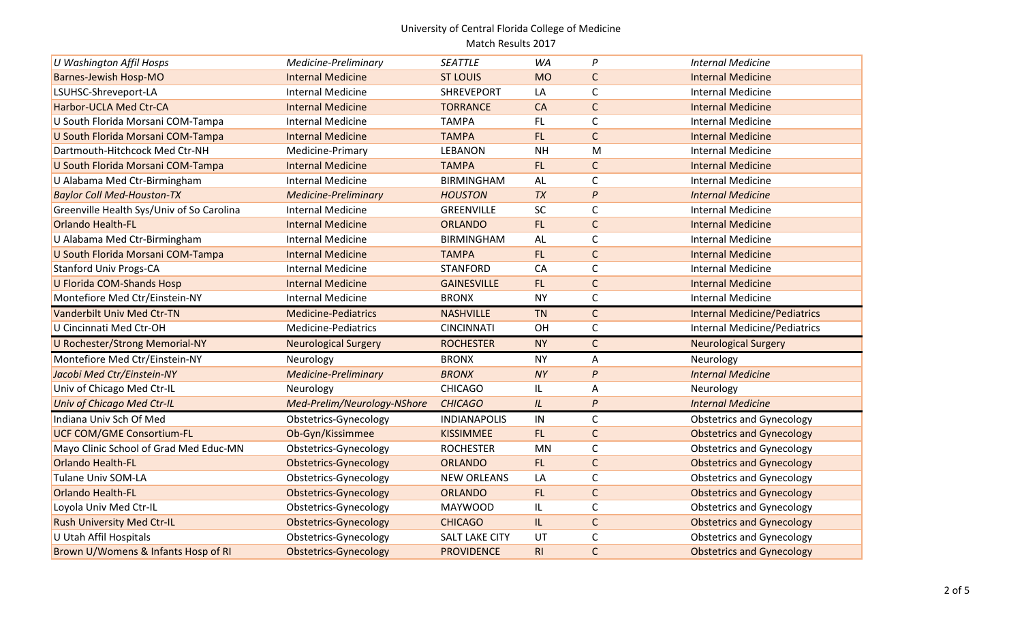| <b>U Washington Affil Hosps</b>           | Medicine-Preliminary         | <b>SEATTLE</b>        | <b>WA</b> | P                | <b>Internal Medicine</b>            |
|-------------------------------------------|------------------------------|-----------------------|-----------|------------------|-------------------------------------|
| <b>Barnes-Jewish Hosp-MO</b>              | <b>Internal Medicine</b>     | <b>ST LOUIS</b>       | <b>MO</b> | $\mathsf{C}$     | <b>Internal Medicine</b>            |
| LSUHSC-Shreveport-LA                      | <b>Internal Medicine</b>     | <b>SHREVEPORT</b>     | LA        | C                | <b>Internal Medicine</b>            |
| Harbor-UCLA Med Ctr-CA                    | <b>Internal Medicine</b>     | <b>TORRANCE</b>       | CA        | $\mathsf C$      | <b>Internal Medicine</b>            |
| U South Florida Morsani COM-Tampa         | <b>Internal Medicine</b>     | <b>TAMPA</b>          | FL        | C                | <b>Internal Medicine</b>            |
| U South Florida Morsani COM-Tampa         | <b>Internal Medicine</b>     | <b>TAMPA</b>          | FL.       | $\mathsf C$      | <b>Internal Medicine</b>            |
| Dartmouth-Hitchcock Med Ctr-NH            | Medicine-Primary             | <b>LEBANON</b>        | <b>NH</b> | M                | <b>Internal Medicine</b>            |
| U South Florida Morsani COM-Tampa         | <b>Internal Medicine</b>     | <b>TAMPA</b>          | FL.       | $\mathsf C$      | <b>Internal Medicine</b>            |
| U Alabama Med Ctr-Birmingham              | <b>Internal Medicine</b>     | <b>BIRMINGHAM</b>     | AL        | C                | <b>Internal Medicine</b>            |
| <b>Baylor Coll Med-Houston-TX</b>         | <b>Medicine-Preliminary</b>  | <b>HOUSTON</b>        | TX        | P                | <b>Internal Medicine</b>            |
| Greenville Health Sys/Univ of So Carolina | <b>Internal Medicine</b>     | <b>GREENVILLE</b>     | SC        | $\mathsf C$      | <b>Internal Medicine</b>            |
| <b>Orlando Health-FL</b>                  | <b>Internal Medicine</b>     | <b>ORLANDO</b>        | FL.       | $\mathsf{C}$     | <b>Internal Medicine</b>            |
| U Alabama Med Ctr-Birmingham              | <b>Internal Medicine</b>     | <b>BIRMINGHAM</b>     | AL        | C                | <b>Internal Medicine</b>            |
| U South Florida Morsani COM-Tampa         | <b>Internal Medicine</b>     | <b>TAMPA</b>          | FL.       | $\mathsf C$      | <b>Internal Medicine</b>            |
| <b>Stanford Univ Progs-CA</b>             | Internal Medicine            | <b>STANFORD</b>       | CA        | C                | <b>Internal Medicine</b>            |
| <b>U Florida COM-Shands Hosp</b>          | <b>Internal Medicine</b>     | <b>GAINESVILLE</b>    | FL.       | $\mathsf C$      | <b>Internal Medicine</b>            |
| Montefiore Med Ctr/Einstein-NY            | <b>Internal Medicine</b>     | <b>BRONX</b>          | <b>NY</b> | $\mathsf C$      | <b>Internal Medicine</b>            |
| Vanderbilt Univ Med Ctr-TN                | <b>Medicine-Pediatrics</b>   | <b>NASHVILLE</b>      | <b>TN</b> | $\mathsf{C}$     | <b>Internal Medicine/Pediatrics</b> |
| U Cincinnati Med Ctr-OH                   | Medicine-Pediatrics          | <b>CINCINNATI</b>     | OH        | C                | <b>Internal Medicine/Pediatrics</b> |
| <b>U Rochester/Strong Memorial-NY</b>     | <b>Neurological Surgery</b>  | <b>ROCHESTER</b>      | <b>NY</b> | $\mathsf{C}$     | <b>Neurological Surgery</b>         |
| Montefiore Med Ctr/Einstein-NY            | Neurology                    | <b>BRONX</b>          | <b>NY</b> | A                | Neurology                           |
| Jacobi Med Ctr/Einstein-NY                | <b>Medicine-Preliminary</b>  | <b>BRONX</b>          | <b>NY</b> | P                | <b>Internal Medicine</b>            |
| Univ of Chicago Med Ctr-IL                | Neurology                    | <b>CHICAGO</b>        | IL.       | Α                | Neurology                           |
| <b>Univ of Chicago Med Ctr-IL</b>         | Med-Prelim/Neurology-NShore  | <b>CHICAGO</b>        | IL        | $\boldsymbol{P}$ | <b>Internal Medicine</b>            |
| Indiana Univ Sch Of Med                   | Obstetrics-Gynecology        | <b>INDIANAPOLIS</b>   | IN        | $\mathsf{C}$     | <b>Obstetrics and Gynecology</b>    |
| <b>UCF COM/GME Consortium-FL</b>          | Ob-Gyn/Kissimmee             | <b>KISSIMMEE</b>      | FL.       | $\mathsf C$      | <b>Obstetrics and Gynecology</b>    |
| Mayo Clinic School of Grad Med Educ-MN    | Obstetrics-Gynecology        | <b>ROCHESTER</b>      | <b>MN</b> | C                | <b>Obstetrics and Gynecology</b>    |
| <b>Orlando Health-FL</b>                  | <b>Obstetrics-Gynecology</b> | <b>ORLANDO</b>        | FL.       | $\mathsf C$      | <b>Obstetrics and Gynecology</b>    |
| <b>Tulane Univ SOM-LA</b>                 | Obstetrics-Gynecology        | <b>NEW ORLEANS</b>    | LA        | C                | <b>Obstetrics and Gynecology</b>    |
| <b>Orlando Health-FL</b>                  | <b>Obstetrics-Gynecology</b> | <b>ORLANDO</b>        | FL.       | $\mathsf C$      | <b>Obstetrics and Gynecology</b>    |
| Loyola Univ Med Ctr-IL                    | Obstetrics-Gynecology        | <b>MAYWOOD</b>        | IL.       | C                | <b>Obstetrics and Gynecology</b>    |
| <b>Rush University Med Ctr-IL</b>         | <b>Obstetrics-Gynecology</b> | <b>CHICAGO</b>        | IL.       | $\mathsf{C}$     | <b>Obstetrics and Gynecology</b>    |
| <b>U Utah Affil Hospitals</b>             | Obstetrics-Gynecology        | <b>SALT LAKE CITY</b> | UT        | C                | <b>Obstetrics and Gynecology</b>    |
| Brown U/Womens & Infants Hosp of RI       | <b>Obstetrics-Gynecology</b> | <b>PROVIDENCE</b>     | R1        | $\mathsf C$      | <b>Obstetrics and Gynecology</b>    |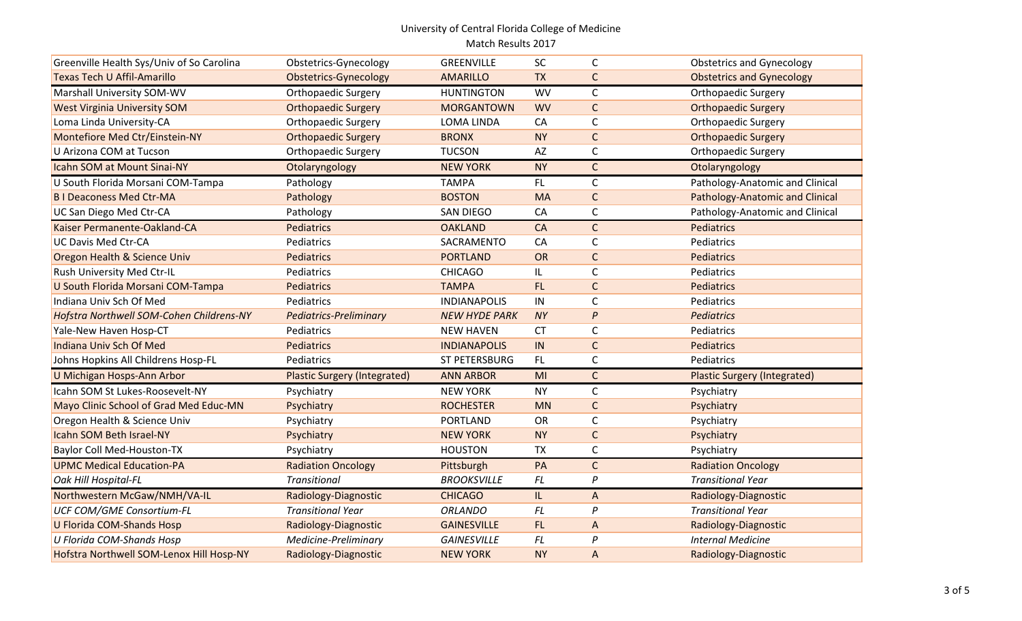| Greenville Health Sys/Univ of So Carolina | Obstetrics-Gynecology               | GREENVILLE           | <b>SC</b> | C                | <b>Obstetrics and Gynecology</b>       |
|-------------------------------------------|-------------------------------------|----------------------|-----------|------------------|----------------------------------------|
| <b>Texas Tech U Affil-Amarillo</b>        | <b>Obstetrics-Gynecology</b>        | <b>AMARILLO</b>      | <b>TX</b> | $\mathsf{C}$     | <b>Obstetrics and Gynecology</b>       |
| Marshall University SOM-WV                | <b>Orthopaedic Surgery</b>          | <b>HUNTINGTON</b>    | <b>WV</b> | $\mathsf C$      | <b>Orthopaedic Surgery</b>             |
| <b>West Virginia University SOM</b>       | <b>Orthopaedic Surgery</b>          | <b>MORGANTOWN</b>    | <b>WV</b> | $\mathsf{C}$     | <b>Orthopaedic Surgery</b>             |
| Loma Linda University-CA                  | <b>Orthopaedic Surgery</b>          | <b>LOMA LINDA</b>    | CA        | $\mathsf C$      | <b>Orthopaedic Surgery</b>             |
| Montefiore Med Ctr/Einstein-NY            | <b>Orthopaedic Surgery</b>          | <b>BRONX</b>         | <b>NY</b> | $\mathsf{C}$     | <b>Orthopaedic Surgery</b>             |
| U Arizona COM at Tucson                   | <b>Orthopaedic Surgery</b>          | <b>TUCSON</b>        | AZ        | $\mathsf C$      | Orthopaedic Surgery                    |
| Icahn SOM at Mount Sinai-NY               | Otolaryngology                      | <b>NEW YORK</b>      | <b>NY</b> | $\mathsf{C}$     | Otolaryngology                         |
| U South Florida Morsani COM-Tampa         | Pathology                           | <b>TAMPA</b>         | FL        | $\mathsf C$      | Pathology-Anatomic and Clinical        |
| <b>BI Deaconess Med Ctr-MA</b>            | Pathology                           | <b>BOSTON</b>        | <b>MA</b> | $\mathsf C$      | <b>Pathology-Anatomic and Clinical</b> |
| UC San Diego Med Ctr-CA                   | Pathology                           | <b>SAN DIEGO</b>     | CA        | $\mathsf C$      | Pathology-Anatomic and Clinical        |
| Kaiser Permanente-Oakland-CA              | Pediatrics                          | <b>OAKLAND</b>       | CA        | $\mathsf{C}$     | <b>Pediatrics</b>                      |
| <b>UC Davis Med Ctr-CA</b>                | Pediatrics                          | SACRAMENTO           | CA        | $\mathsf C$      | Pediatrics                             |
| Oregon Health & Science Univ              | Pediatrics                          | <b>PORTLAND</b>      | OR        | $\mathsf{C}$     | Pediatrics                             |
| Rush University Med Ctr-IL                | Pediatrics                          | <b>CHICAGO</b>       | IL        | $\mathsf C$      | Pediatrics                             |
| U South Florida Morsani COM-Tampa         | <b>Pediatrics</b>                   | <b>TAMPA</b>         | FL.       | $\mathsf C$      | <b>Pediatrics</b>                      |
| Indiana Univ Sch Of Med                   | Pediatrics                          | <b>INDIANAPOLIS</b>  | IN        | $\mathsf C$      | Pediatrics                             |
| Hofstra Northwell SOM-Cohen Childrens-NY  | <b>Pediatrics-Preliminary</b>       | <b>NEW HYDE PARK</b> | <b>NY</b> | $\boldsymbol{P}$ | <b>Pediatrics</b>                      |
| Yale-New Haven Hosp-CT                    | Pediatrics                          | <b>NEW HAVEN</b>     | <b>CT</b> | $\mathsf C$      | Pediatrics                             |
| Indiana Univ Sch Of Med                   | Pediatrics                          | <b>INDIANAPOLIS</b>  | IN        | $\mathsf C$      | <b>Pediatrics</b>                      |
| Johns Hopkins All Childrens Hosp-FL       | Pediatrics                          | ST PETERSBURG        | FL.       | $\mathsf C$      | Pediatrics                             |
| U Michigan Hosps-Ann Arbor                | <b>Plastic Surgery (Integrated)</b> | <b>ANN ARBOR</b>     | MI        | $\mathsf{C}$     | <b>Plastic Surgery (Integrated)</b>    |
| Icahn SOM St Lukes-Roosevelt-NY           | Psychiatry                          | <b>NEW YORK</b>      | <b>NY</b> | $\mathsf C$      | Psychiatry                             |
| Mayo Clinic School of Grad Med Educ-MN    | Psychiatry                          | <b>ROCHESTER</b>     | <b>MN</b> | $\mathsf{C}$     | Psychiatry                             |
| Oregon Health & Science Univ              | Psychiatry                          | <b>PORTLAND</b>      | <b>OR</b> | $\mathsf C$      | Psychiatry                             |
| Icahn SOM Beth Israel-NY                  | Psychiatry                          | <b>NEW YORK</b>      | <b>NY</b> | $\mathsf C$      | Psychiatry                             |
| <b>Baylor Coll Med-Houston-TX</b>         | Psychiatry                          | <b>HOUSTON</b>       | <b>TX</b> | $\mathsf C$      | Psychiatry                             |
| <b>UPMC Medical Education-PA</b>          | <b>Radiation Oncology</b>           | Pittsburgh           | PA        | $\mathsf{C}$     | <b>Radiation Oncology</b>              |
| Oak Hill Hospital-FL                      | <b>Transitional</b>                 | <b>BROOKSVILLE</b>   | FL        | P                | <b>Transitional Year</b>               |
| Northwestern McGaw/NMH/VA-IL              | Radiology-Diagnostic                | <b>CHICAGO</b>       | IL.       | A                | Radiology-Diagnostic                   |
| <b>UCF COM/GME Consortium-FL</b>          | <b>Transitional Year</b>            | <b>ORLANDO</b>       | <b>FL</b> | P                | <b>Transitional Year</b>               |
| <b>U Florida COM-Shands Hosp</b>          | Radiology-Diagnostic                | <b>GAINESVILLE</b>   | FL.       | A                | Radiology-Diagnostic                   |
| <b>U Florida COM-Shands Hosp</b>          | Medicine-Preliminary                | <b>GAINESVILLE</b>   | <b>FL</b> | $\boldsymbol{P}$ | <b>Internal Medicine</b>               |
| Hofstra Northwell SOM-Lenox Hill Hosp-NY  | Radiology-Diagnostic                | <b>NEW YORK</b>      | <b>NY</b> | $\mathsf A$      | Radiology-Diagnostic                   |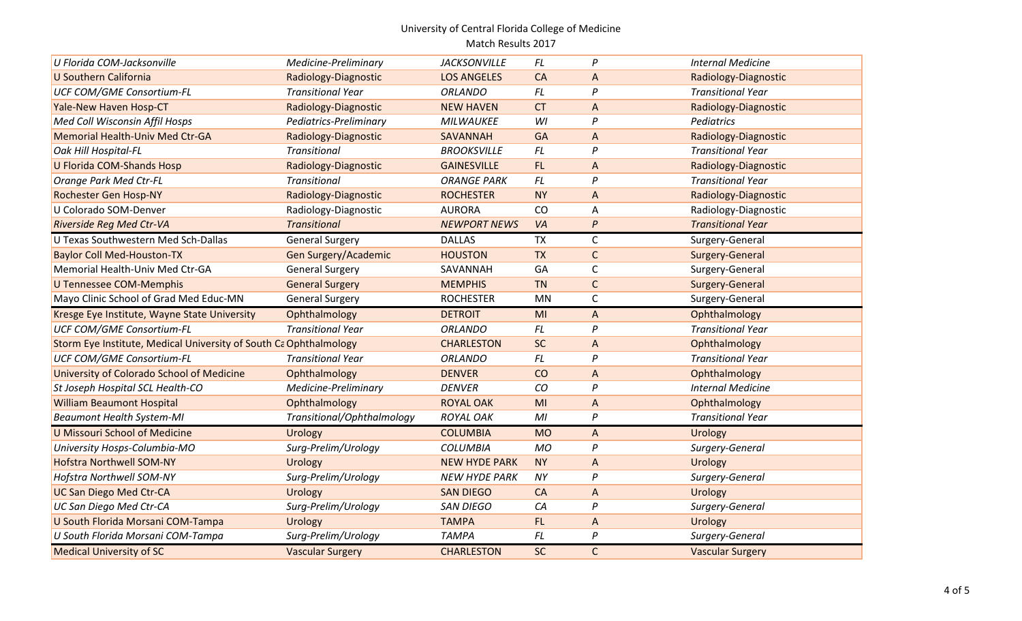| U Florida COM-Jacksonville                                        | Medicine-Preliminary       | <b>JACKSONVILLE</b>  | <b>FL</b>      | P                | <b>Internal Medicine</b> |
|-------------------------------------------------------------------|----------------------------|----------------------|----------------|------------------|--------------------------|
| <b>U Southern California</b>                                      | Radiology-Diagnostic       | <b>LOS ANGELES</b>   | CA             | A                | Radiology-Diagnostic     |
| <b>UCF COM/GME Consortium-FL</b>                                  | <b>Transitional Year</b>   | <b>ORLANDO</b>       | <b>FL</b>      | P                | <b>Transitional Year</b> |
| Yale-New Haven Hosp-CT                                            | Radiology-Diagnostic       | <b>NEW HAVEN</b>     | <b>CT</b>      | A                | Radiology-Diagnostic     |
| Med Coll Wisconsin Affil Hosps                                    | Pediatrics-Preliminary     | <b>MILWAUKEE</b>     | WI             | P                | Pediatrics               |
| <b>Memorial Health-Univ Med Ctr-GA</b>                            | Radiology-Diagnostic       | SAVANNAH             | GA             | A                | Radiology-Diagnostic     |
| Oak Hill Hospital-FL                                              | <b>Transitional</b>        | <b>BROOKSVILLE</b>   | FL             | P                | <b>Transitional Year</b> |
| <b>U Florida COM-Shands Hosp</b>                                  | Radiology-Diagnostic       | <b>GAINESVILLE</b>   | FL.            | A                | Radiology-Diagnostic     |
| <b>Orange Park Med Ctr-FL</b>                                     | Transitional               | <b>ORANGE PARK</b>   | FL             | $\mathsf{P}$     | <b>Transitional Year</b> |
| Rochester Gen Hosp-NY                                             | Radiology-Diagnostic       | <b>ROCHESTER</b>     | <b>NY</b>      | A                | Radiology-Diagnostic     |
| U Colorado SOM-Denver                                             | Radiology-Diagnostic       | <b>AURORA</b>        | CO             | A                | Radiology-Diagnostic     |
| <b>Riverside Reg Med Ctr-VA</b>                                   | <b>Transitional</b>        | <b>NEWPORT NEWS</b>  | VA             | $\boldsymbol{P}$ | <b>Transitional Year</b> |
| U Texas Southwestern Med Sch-Dallas                               | <b>General Surgery</b>     | <b>DALLAS</b>        | <b>TX</b>      | C                | Surgery-General          |
| <b>Baylor Coll Med-Houston-TX</b>                                 | Gen Surgery/Academic       | <b>HOUSTON</b>       | <b>TX</b>      | $\mathsf{C}$     | Surgery-General          |
| Memorial Health-Univ Med Ctr-GA                                   | <b>General Surgery</b>     | SAVANNAH             | GA             | C                | Surgery-General          |
| <b>U Tennessee COM-Memphis</b>                                    | <b>General Surgery</b>     | <b>MEMPHIS</b>       | <b>TN</b>      | $\mathsf C$      | Surgery-General          |
| Mayo Clinic School of Grad Med Educ-MN                            | <b>General Surgery</b>     | <b>ROCHESTER</b>     | MN             | C                | Surgery-General          |
|                                                                   |                            |                      |                |                  |                          |
| Kresge Eye Institute, Wayne State University                      | Ophthalmology              | <b>DETROIT</b>       | MI             | A                | Ophthalmology            |
| <b>UCF COM/GME Consortium-FL</b>                                  | <b>Transitional Year</b>   | <b>ORLANDO</b>       | FL             | P                | <b>Transitional Year</b> |
| Storm Eye Institute, Medical University of South Ca Ophthalmology |                            | <b>CHARLESTON</b>    | <b>SC</b>      | $\mathsf{A}$     | Ophthalmology            |
| <b>UCF COM/GME Consortium-FL</b>                                  | <b>Transitional Year</b>   | <b>ORLANDO</b>       | FL             | P                | <b>Transitional Year</b> |
| University of Colorado School of Medicine                         | Ophthalmology              | <b>DENVER</b>        | CO             | A                | Ophthalmology            |
| St Joseph Hospital SCL Health-CO                                  | Medicine-Preliminary       | <b>DENVER</b>        | CO             | P                | <b>Internal Medicine</b> |
| <b>William Beaumont Hospital</b>                                  | Ophthalmology              | <b>ROYAL OAK</b>     | M <sub>l</sub> | A                | Ophthalmology            |
| <b>Beaumont Health System-MI</b>                                  | Transitional/Ophthalmology | <b>ROYAL OAK</b>     | M <sub>l</sub> | P                | <b>Transitional Year</b> |
| <b>U Missouri School of Medicine</b>                              | Urology                    | <b>COLUMBIA</b>      | <b>MO</b>      | A                | Urology                  |
| University Hosps-Columbia-MO                                      | Surg-Prelim/Urology        | <b>COLUMBIA</b>      | <b>MO</b>      | P                | Surgery-General          |
| <b>Hofstra Northwell SOM-NY</b>                                   | Urology                    | <b>NEW HYDE PARK</b> | <b>NY</b>      | A                | Urology                  |
| Hofstra Northwell SOM-NY                                          | Surg-Prelim/Urology        | <b>NEW HYDE PARK</b> | NY             | P                | Surgery-General          |
| <b>UC San Diego Med Ctr-CA</b>                                    | Urology                    | <b>SAN DIEGO</b>     | CA             | $\mathsf{A}$     | Urology                  |
| UC San Diego Med Ctr-CA                                           | Surg-Prelim/Urology        | <b>SAN DIEGO</b>     | CA             | P                | Surgery-General          |
| U South Florida Morsani COM-Tampa                                 | Urology                    | <b>TAMPA</b>         | FL.            | $\mathsf{A}$     | Urology                  |
| U South Florida Morsani COM-Tampa                                 | Surg-Prelim/Urology        | <b>TAMPA</b>         | <b>FL</b>      | $\boldsymbol{P}$ | Surgery-General          |